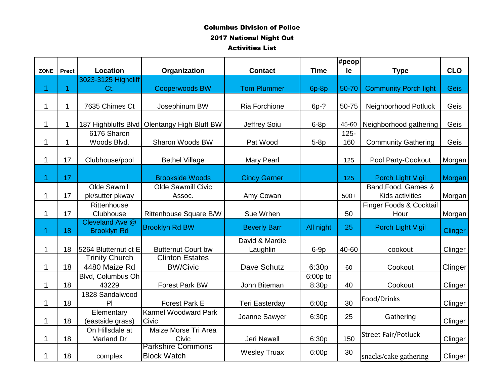|                |              |                                       |                                               |                       |             | #peop   |                              |                |
|----------------|--------------|---------------------------------------|-----------------------------------------------|-----------------------|-------------|---------|------------------------------|----------------|
| <b>ZONE</b>    | <b>Prect</b> | Location                              | Organization                                  | <b>Contact</b>        | <b>Time</b> | le      | <b>Type</b>                  | <b>CLO</b>     |
|                |              | 3023-3125 Highcliff                   |                                               |                       |             |         |                              |                |
| 1              | 1            | Ct.                                   | <b>Cooperwoods BW</b>                         | <b>Tom Plummer</b>    | $6p-8p$     | 50-70   | <b>Community Porch light</b> | <b>Geis</b>    |
|                |              |                                       |                                               |                       |             |         |                              |                |
|                | 1            | 7635 Chimes Ct                        | Josephinum BW                                 | Ria Forchione         | $6p-?$      | 50-75   | Neighborhood Potluck         | Geis           |
| 1              | 1            |                                       | 187 Highbluffs Blvd   Olentangy High Bluff BW | Jeffrey Soiu          | $6-8p$      | 45-60   | Neighborhood gathering       | Geis           |
|                |              | 6176 Sharon                           |                                               |                       |             | $125 -$ |                              |                |
|                | 1            | Woods Blvd.                           | Sharon Woods BW                               | Pat Wood              | $5-8p$      | 160     | <b>Community Gathering</b>   | Geis           |
|                |              |                                       |                                               |                       |             |         |                              |                |
|                | 17           | Clubhouse/pool                        | <b>Bethel Village</b>                         | Mary Pearl            |             | 125     | Pool Party-Cookout           | Morgan         |
| 1              | 17           |                                       | <b>Brookside Woods</b>                        | <b>Cindy Garner</b>   |             | 125     | Porch Light Vigil            | Morgan         |
|                |              | Olde Sawmill                          | <b>Olde Sawmill Civic</b>                     |                       |             |         | Band, Food, Games &          |                |
|                | 17           | pk/sutter pkway                       | Assoc.                                        | Amy Cowan             |             | $500+$  | Kids activities              | Morgan         |
|                |              | Rittenhouse                           |                                               |                       |             |         | Finger Foods & Cocktail      |                |
| 1              | 17           | Clubhouse                             | Rittenhouse Square B/W                        | Sue Wrhen             |             | 50      | Hour                         | Morgan         |
| $\overline{1}$ | 18           | Cleveland Ave @<br><b>Brooklyn Rd</b> | <b>Brooklyn Rd BW</b>                         | <b>Beverly Barr</b>   | All night   | 25      | Porch Light Vigil            | <b>Clinger</b> |
|                |              |                                       |                                               | David & Mardie        |             |         |                              |                |
| 1              | 18           | 5264 Blutternut ct E                  | <b>Butternut Court bw</b>                     | Laughlin              | $6-9p$      | 40-60   | cookout                      | Clinger        |
|                |              | <b>Trinity Church</b>                 | <b>Clinton Estates</b>                        |                       |             |         |                              |                |
| 1              | 18           | 4480 Maize Rd                         | <b>BW/Civic</b>                               | Dave Schutz           | 6:30p       | 60      | Cookout                      | Clinger        |
|                |              | Blvd, Columbus Oh                     |                                               |                       | 6:00p to    |         |                              |                |
| 1              | 18           | 43229                                 | <b>Forest Park BW</b>                         | John Biteman          | 8:30p       | 40      | Cookout                      | Clinger        |
|                | 18           | 1828 Sandalwood<br>PI                 | Forest Park E                                 |                       |             | 30      | Food/Drinks                  |                |
|                |              | Elementary                            | <b>Karmel Woodward Park</b>                   | <b>Teri Easterday</b> | 6:00p       |         |                              | Clinger        |
|                | 18           | (eastside grass)                      | Civic                                         | Joanne Sawyer         | 6:30p       | 25      | Gathering                    | Clinger        |
|                |              | On Hillsdale at                       | Maize Morse Tri Area                          |                       |             |         | <b>Street Fair/Potluck</b>   |                |
|                | 18           | Marland Dr                            | Civic<br><b>Parkshire Commons</b>             | Jeri Newell           | 6:30p       | 150     |                              | Clinger        |
|                | 18           | complex                               | <b>Block Watch</b>                            | <b>Wesley Truax</b>   | 6:00p       | 30      | snacks/cake gathering        | Clinger        |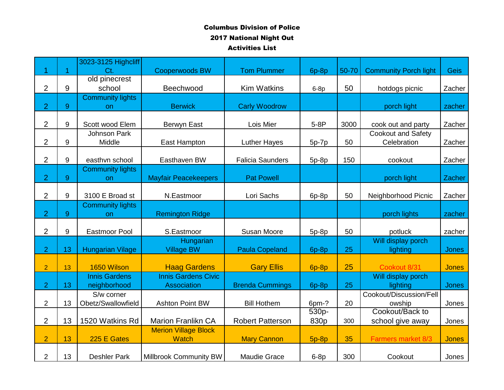|                |    | 3023-3125 Highcliff     |                             |                         |         |       |                              |              |
|----------------|----|-------------------------|-----------------------------|-------------------------|---------|-------|------------------------------|--------------|
| 1              | 1  | Ct.                     | <b>Cooperwoods BW</b>       | <b>Tom Plummer</b>      | $6p-8p$ | 50-70 | <b>Community Porch light</b> | <b>Geis</b>  |
|                |    | old pinecrest           |                             |                         |         |       |                              |              |
| $\overline{2}$ | 9  | school                  | Beechwood                   | <b>Kim Watkins</b>      | $6-8p$  | 50    | hotdogs picnic               | Zacher       |
|                |    | <b>Community lights</b> |                             |                         |         |       |                              |              |
| $\overline{2}$ | 9  | on                      | <b>Berwick</b>              | <b>Carly Woodrow</b>    |         |       | porch light                  | zacher       |
|                |    |                         |                             |                         |         |       |                              |              |
| $\overline{2}$ | 9  | Scott wood Elem         | Berwyn East                 | Lois Mier               | $5-8P$  | 3000  | cook out and party           | Zacher       |
|                |    | Johnson Park            |                             |                         |         |       | <b>Cookout and Safety</b>    |              |
| $\overline{2}$ | 9  | Middle                  | East Hampton                | <b>Luther Hayes</b>     | $5p-7p$ | 50    | Celebration                  | Zacher       |
|                |    |                         |                             |                         |         |       |                              |              |
| $\overline{2}$ | 9  | easthvn school          | Easthaven BW                | <b>Falicia Saunders</b> | $5p-8p$ | 150   | cookout                      | Zacher       |
|                |    | <b>Community lights</b> |                             |                         |         |       |                              |              |
| $\overline{2}$ | 9  | on                      | <b>Mayfair Peacekeepers</b> | <b>Pat Powell</b>       |         |       | porch light                  | Zacher       |
|                |    |                         |                             |                         |         |       |                              |              |
| $\overline{2}$ | 9  | 3100 E Broad st         | N.Eastmoor                  | Lori Sachs              | 6p-8p   | 50    | Neighborhood Picnic          | Zacher       |
|                |    | <b>Community lights</b> |                             |                         |         |       |                              |              |
| $\overline{2}$ | 9  | <b>on</b>               | <b>Remington Ridge</b>      |                         |         |       | porch lights                 | zacher       |
|                |    |                         |                             |                         |         |       |                              |              |
| $\overline{2}$ | 9  | <b>Eastmoor Pool</b>    | S.Eastmoor                  | Susan Moore             | $5p-8p$ | 50    | potluck                      | zacher       |
|                |    |                         | Hungarian                   |                         |         |       | Will display porch           |              |
| $\overline{2}$ | 13 | <b>Hungarian Vilage</b> | <b>Village BW</b>           | <b>Paula Copeland</b>   | 6p-8p   | 25    | lighting                     | Jones        |
|                |    |                         |                             |                         |         |       |                              |              |
| $\overline{2}$ | 13 | 1650 Wilson             | <b>Haag Gardens</b>         | <b>Gary Ellis</b>       | $6p-8p$ | 25    | Cookout 8/31                 | <b>Jones</b> |
|                |    | <b>Innis Gardens</b>    | <b>Innis Gardens Civic</b>  |                         |         |       | Will display porch           |              |
| $\overline{2}$ | 13 | neighborhood            | <b>Association</b>          | <b>Brenda Cummings</b>  | 6p-8p   | 25    | lighting                     | <b>Jones</b> |
|                |    | S/w corner              |                             |                         |         |       | Cookout/Discussion/Fell      |              |
| $\overline{2}$ | 13 | Obetz/Swallowfield      | <b>Ashton Point BW</b>      | <b>Bill Hothem</b>      | 6pm-?   | 20    | owship<br>Cookout/Back to    | Jones        |
|                |    |                         |                             |                         | 530p-   |       |                              |              |
| $\overline{2}$ | 13 | 1520 Watkins Rd         | <b>Marion Franlikn CA</b>   | <b>Robert Patterson</b> | 830p    | 300   | school give away             | Jones        |
|                |    |                         | <b>Merion Village Block</b> |                         |         |       |                              |              |
| $\overline{2}$ | 13 | 225 E Gates             | <b>Watch</b>                | <b>Mary Cannon</b>      | $5p-8p$ | 35    | Farmers market 8/3           | <b>Jones</b> |
| $\overline{2}$ | 13 | <b>Deshler Park</b>     | Millbrook Community BW      | Maudie Grace            | $6-8p$  | 300   | Cookout                      | Jones        |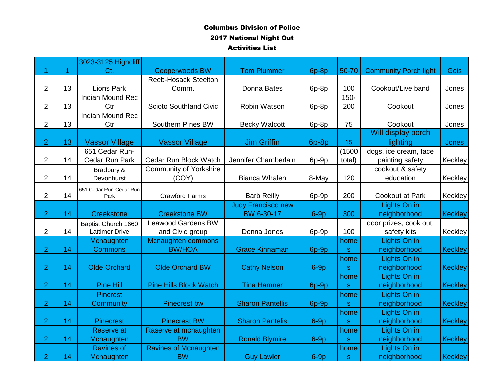|                |    | 3023-3125 Highcliff     |                               |                           |        |              |                              |                |
|----------------|----|-------------------------|-------------------------------|---------------------------|--------|--------------|------------------------------|----------------|
| 1              | 1  | Ct.                     | <b>Cooperwoods BW</b>         | <b>Tom Plummer</b>        | 6p-8p  | 50-70        | <b>Community Porch light</b> | <b>Geis</b>    |
|                |    |                         | <b>Reeb-Hosack Steelton</b>   |                           |        |              |                              |                |
| $\overline{2}$ | 13 | <b>Lions Park</b>       | Comm.                         | Donna Bates               | 6p-8p  | 100          | Cookout/Live band            | Jones          |
|                |    | <b>Indian Mound Rec</b> |                               |                           |        | $150 -$      |                              |                |
| 2              | 13 | Ctr                     | <b>Scioto Southland Civic</b> | Robin Watson              | 6p-8p  | 200          | Cookout                      | Jones          |
|                |    | <b>Indian Mound Rec</b> |                               |                           |        |              |                              |                |
| $\overline{2}$ | 13 | Ctr                     | Southern Pines BW             | <b>Becky Walcott</b>      | 6p-8p  | 75           | Cookout                      | Jones          |
|                |    |                         |                               |                           |        |              | Will display porch           |                |
| $\overline{2}$ | 13 | <b>Vassor Village</b>   | <b>Vassor Village</b>         | <b>Jim Griffin</b>        | 6p-8p  | 15           | lighting                     | <b>Jones</b>   |
|                |    | 651 Cedar Run-          |                               |                           |        | (1500        | dogs, ice cream, face        |                |
| $\overline{2}$ | 14 | Cedar Run Park          | Cedar Run Block Watch         | Jennifer Chamberlain      | 6p-9p  | total)       | painting safety              | Keckley        |
|                |    | Bradbury &              | <b>Community of Yorkshire</b> |                           |        |              | cookout & safety             |                |
| $\overline{2}$ | 14 | Devonhurst              | (COY)                         | <b>Bianca Whalen</b>      | 8-May  | 120          | education                    | Keckley        |
|                |    | 651 Cedar Run-Cedar Run |                               |                           |        |              |                              |                |
| $\overline{c}$ | 14 | Park                    | <b>Crawford Farms</b>         | <b>Barb Reilly</b>        | 6p-9p  | 200          | <b>Cookout at Park</b>       | Keckley        |
|                |    |                         |                               | <b>Judy Francisco new</b> |        |              | Lights On in                 |                |
| $\overline{2}$ | 14 | Creekstone              | <b>Creekstone BW</b>          | BW 6-30-17                | $6-9p$ | 300          | neighborhood                 | <b>Keckley</b> |
|                |    | Baptist Church 1660     | <b>Leawood Gardens BW</b>     |                           |        |              | door prizes, cook out,       |                |
| $\overline{2}$ | 14 | <b>Lattimer Drive</b>   | and Civic group               | Donna Jones               | 6p-9p  | 100          | safety kits                  | Keckley        |
|                |    | Mcnaughten              | <b>Mcnaughten commons</b>     |                           |        | home         | Lights On in                 |                |
| $\overline{2}$ | 14 | <b>Commons</b>          | <b>BW/HOA</b>                 | <b>Grace Kinnaman</b>     | 6p-9p  | $\mathbf{s}$ | neighborhood                 | <b>Keckley</b> |
|                |    |                         |                               |                           |        | home         | Lights On in                 |                |
| $\overline{2}$ | 14 | <b>Olde Orchard</b>     | <b>Olde Orchard BW</b>        | <b>Cathy Nelson</b>       | $6-9p$ | S            | neighborhood                 | <b>Keckley</b> |
|                |    |                         |                               |                           |        | home         | Lights On in                 |                |
| $\overline{2}$ | 14 | <b>Pine Hill</b>        | <b>Pine Hills Block Watch</b> | <b>Tina Hamner</b>        | 6p-9p  | $\mathbf S$  | neighborhood                 | <b>Keckley</b> |
|                |    | <b>Pincrest</b>         |                               |                           |        | home         | Lights On in                 |                |
| $\overline{2}$ | 14 | Community               | <b>Pinecrest bw</b>           | <b>Sharon Pantellis</b>   | 6p-9p  | ${\bf S}$    | neighborhood                 | <b>Keckley</b> |
|                |    |                         |                               |                           |        | home         | Lights On in                 |                |
| $\overline{2}$ | 14 | <b>Pinecrest</b>        | <b>Pinecrest BW</b>           | <b>Sharon Pantelis</b>    | $6-9p$ | s.           | neighborhood                 | <b>Keckley</b> |
|                |    | <b>Reserve at</b>       | Raserve at mcnaughten         |                           |        | home         | Lights On in                 |                |
| $\overline{2}$ | 14 | Mcnaughten              | <b>BW</b>                     | <b>Ronald Blymire</b>     | $6-9p$ | $\mathbf{s}$ | neighborhood                 | <b>Keckley</b> |
|                |    | <b>Ravines of</b>       | <b>Ravines of Mcnaughten</b>  |                           |        | home         | Lights On in                 |                |
| $\overline{2}$ | 14 | Mcnaughten              | <b>BW</b>                     | <b>Guy Lawler</b>         | $6-9p$ | ${\bf S}$    | neighborhood                 | <b>Keckley</b> |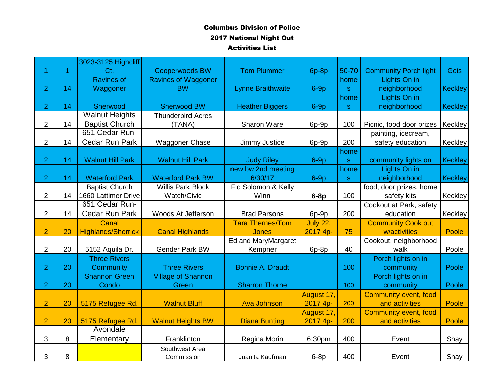|                |    | 3023-3125 Highcliff       |                           |                          |                 |              |                              |                |
|----------------|----|---------------------------|---------------------------|--------------------------|-----------------|--------------|------------------------------|----------------|
|                | 1  | Ct.                       | <b>Cooperwoods BW</b>     | <b>Tom Plummer</b>       | 6p-8p           | 50-70        | <b>Community Porch light</b> | <b>Geis</b>    |
|                |    | <b>Ravines of</b>         | Ravines of Waggoner       |                          |                 | home         | Lights On in                 |                |
| $\overline{2}$ | 14 | Waggoner                  | <b>BW</b>                 | <b>Lynne Braithwaite</b> | $6-9p$          | $\mathbf{s}$ | neighborhood                 | <b>Keckley</b> |
|                |    |                           |                           |                          |                 | home         | Lights On in                 |                |
| $\overline{2}$ | 14 | Sherwood                  | <b>Sherwood BW</b>        | <b>Heather Biggers</b>   | $6-9p$          | $\mathbf{s}$ | neighborhood                 | <b>Keckley</b> |
|                |    | <b>Walnut Heights</b>     | <b>Thunderbird Acres</b>  |                          |                 |              |                              |                |
| $\overline{2}$ | 14 | <b>Baptist Church</b>     | (TANA)                    | Sharon Ware              | 6p-9p           | 100          | Picnic, food door prizes     | Keckley        |
|                |    | 651 Cedar Run-            |                           |                          |                 |              | painting, icecream,          |                |
| $\overline{2}$ | 14 | Cedar Run Park            | <b>Waggoner Chase</b>     | Jimmy Justice            | 6p-9p           | 200          | safety education             | Keckley        |
|                |    |                           |                           |                          |                 | home         |                              |                |
| $\overline{2}$ | 14 | <b>Walnut Hill Park</b>   | <b>Walnut Hill Park</b>   | <b>Judy Riley</b>        | $6-9p$          | ${\bf S}$    | community lights on          | <b>Keckley</b> |
|                |    |                           |                           | new bw 2nd meeting       |                 | home         | Lights On in                 |                |
| $\overline{2}$ | 14 | <b>Waterford Park</b>     | <b>Waterford Park BW</b>  | 6/30/17                  | $6-9p$          | $\mathbf{s}$ | neighborhood                 | <b>Keckley</b> |
|                |    | <b>Baptist Church</b>     | <b>Willis Park Block</b>  | Flo Solomon & Kelly      |                 |              | food, door prizes, home      |                |
| $\overline{2}$ | 14 | 1660 Lattimer Drive       | Watch/Civic               | Winn                     | $6-8p$          | 100          | safety kits                  | Keckley        |
|                |    | 651 Cedar Run-            |                           |                          |                 |              | Cookout at Park, safety      |                |
| $\overline{2}$ | 14 | <b>Cedar Run Park</b>     | Woods At Jefferson        | <b>Brad Parsons</b>      | 6p-9p           | 200          | education                    | Keckley        |
|                |    | Canal                     |                           | <b>Tara Thernes/Tom</b>  | <b>July 22,</b> |              | <b>Community Cook out</b>    |                |
| $\overline{2}$ | 20 | <b>Highlands/Sherrick</b> | <b>Canal Highlands</b>    | <b>Jones</b>             | 2017 4p-        | 75           | w/activities                 | Poole          |
|                |    |                           |                           | Ed and MaryMargaret      |                 |              | Cookout, neighborhood        |                |
| $\overline{2}$ | 20 | 5152 Aquila Dr.           | <b>Gender Park BW</b>     | Kempner                  | 6p-8p           | 40           | walk                         | Poole          |
|                |    | <b>Three Rivers</b>       |                           |                          |                 |              | Porch lights on in           |                |
| $\overline{2}$ | 20 | Community                 | <b>Three Rivers</b>       | <b>Bonnie A. Draudt</b>  |                 | 100          | community                    | Poole          |
|                |    | <b>Shannon Green</b>      | <b>Village of Shannon</b> |                          |                 |              | Porch lights on in           |                |
| $\overline{2}$ | 20 | Condo                     | Green                     | <b>Sharron Thorne</b>    |                 | 100          | community                    | Poole          |
|                |    |                           |                           |                          | August 17,      |              | <b>Community event, food</b> |                |
| $\overline{2}$ | 20 | 5175 Refugee Rd.          | <b>Walnut Bluff</b>       | <b>Ava Johnson</b>       | 2017 4p-        | 200          | and activities               | Poole          |
|                |    |                           |                           |                          | August 17,      |              | <b>Community event, food</b> |                |
| $\overline{2}$ | 20 | 5175 Refugee Rd.          | <b>Walnut Heights BW</b>  | <b>Diana Bunting</b>     | 2017 4p-        | 200          | and activities               | Poole          |
|                |    | Avondale                  |                           |                          |                 |              |                              |                |
| 3              | 8  | Elementary                | Franklinton               | Regina Morin             | 6:30pm          | 400          | Event                        | Shay           |
|                |    |                           | Southwest Area            |                          |                 |              |                              |                |
| 3              | 8  |                           | Commission                | Juanita Kaufman          | $6-8p$          | 400          | Event                        | Shay           |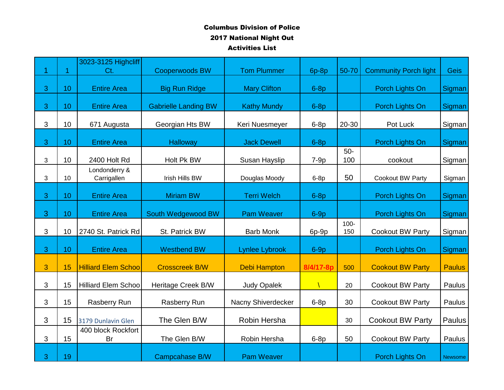|   |    | 3023-3125 Highcliff          |                             |                       |           |                |                              |                |
|---|----|------------------------------|-----------------------------|-----------------------|-----------|----------------|------------------------------|----------------|
| 1 | 1  | $Ct$ .                       | <b>Cooperwoods BW</b>       | <b>Tom Plummer</b>    | 6p-8p     | 50-70          | <b>Community Porch light</b> | <b>Geis</b>    |
| 3 | 10 | <b>Entire Area</b>           | <b>Big Run Ridge</b>        | <b>Mary Clifton</b>   | $6-8p$    |                | Porch Lights On              | Sigman         |
| 3 | 10 | <b>Entire Area</b>           | <b>Gabrielle Landing BW</b> | <b>Kathy Mundy</b>    | $6-8p$    |                | Porch Lights On              | Sigman         |
| 3 | 10 | 671 Augusta                  | Georgian Hts BW             | Keri Nuesmeyer        | $6-8p$    | 20-30          | Pot Luck                     | Sigman         |
| 3 | 10 | <b>Entire Area</b>           | <b>Halloway</b>             | <b>Jack Dewell</b>    | $6-8p$    |                | Porch Lights On              | Sigman         |
| 3 | 10 | 2400 Holt Rd                 | Holt Pk BW                  | Susan Hayslip         | $7-9p$    | $50-$<br>100   | cookout                      | Sigman         |
| 3 | 10 | Londonderry &<br>Carrigallen | Irish Hills BW              | Douglas Moody         | $6-8p$    | 50             | Cookout BW Party             | Sigman         |
| 3 | 10 | <b>Entire Area</b>           | <b>Miriam BW</b>            | <b>Terri Welch</b>    | $6-8p$    |                | Porch Lights On              | Sigman         |
| 3 | 10 | <b>Entire Area</b>           | South Wedgewood BW          | <b>Pam Weaver</b>     | $6-9p$    |                | Porch Lights On              | Sigman         |
| 3 | 10 | 2740 St. Patrick Rd          | St. Patrick BW              | <b>Barb Monk</b>      | 6p-9p     | $100 -$<br>150 | Cookout BW Party             | Sigman         |
| 3 | 10 | <b>Entire Area</b>           | <b>Westbend BW</b>          | <b>Lynlee Lybrook</b> | $6-9p$    |                | Porch Lights On              | Sigman         |
| 3 | 15 | <b>Hilliard Elem Schoo</b>   | <b>Crosscreek B/W</b>       | <b>Debi Hampton</b>   | 8/4/17-8p | 500            | <b>Cookout BW Party</b>      | <b>Paulus</b>  |
| 3 | 15 | <b>Hilliard Elem Schoo</b>   | Heritage Creek B/W          | <b>Judy Opalek</b>    |           | 20             | Cookout BW Party             | Paulus         |
| 3 | 15 | Rasberry Run                 | Rasberry Run                | Nacny Shiverdecker    | $6-8p$    | 30             | Cookout BW Party             | Paulus         |
| 3 | 15 | 3179 Dunlavin Glen           | The Glen B/W                | Robin Hersha          |           | 30             | <b>Cookout BW Party</b>      | Paulus         |
| 3 | 15 | 400 block Rockfort<br>Br     | The Glen B/W                | Robin Hersha          | $6-8p$    | 50             | <b>Cookout BW Party</b>      | Paulus         |
| 3 | 19 |                              | Campcahase B/W              | <b>Pam Weaver</b>     |           |                | Porch Lights On              | <b>Newsome</b> |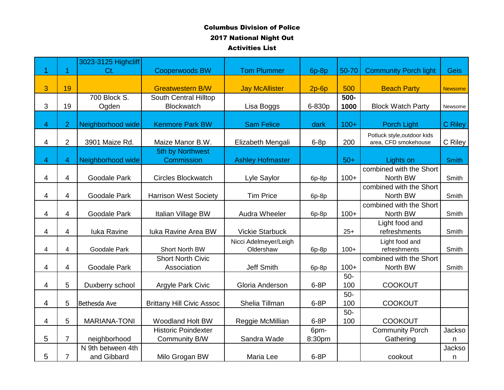|                |                | 3023-3125 Highcliff              |                                             |                                    |                |              |                                                     |                |
|----------------|----------------|----------------------------------|---------------------------------------------|------------------------------------|----------------|--------------|-----------------------------------------------------|----------------|
| 1              |                | Ct.                              | <b>Cooperwoods BW</b>                       | <b>Tom Plummer</b>                 | 6p-8p          | 50-70        | <b>Community Porch light</b>                        | <b>Geis</b>    |
| 3              | 19             |                                  | <b>Greatwestern B/W</b>                     | <b>Jay McAllister</b>              | $2p-6p$        | 500          | <b>Beach Party</b>                                  | <b>Newsome</b> |
| 3              | 19             | 700 Block S.<br>Ogden            | South Central Hilltop<br><b>Blockwatch</b>  | Lisa Boggs                         | 6-830p         | 500-<br>1000 | <b>Block Watch Party</b>                            | Newsome        |
| $\overline{4}$ | $\overline{2}$ | Neighborhood wide                | <b>Kenmore Park BW</b>                      | <b>Sam Felice</b>                  | dark           | $100+$       | Porch Light                                         | <b>C</b> Riley |
| 4              | $\overline{2}$ | 3901 Maize Rd.                   | Maize Manor B.W.                            | Elizabeth Mengali                  | $6-8p$         | 200          | Potluck style, outdoor kids<br>area, CFD smokehouse | C Riley        |
| $\overline{4}$ | 4              | Neighborhood wide                | 5th by Northwest<br>Commission              | <b>Ashley Hofmaster</b>            |                | $50+$        | Lights on                                           | <b>Smith</b>   |
| 4              | 4              | <b>Goodale Park</b>              | <b>Circles Blockwatch</b>                   | Lyle Saylor                        | 6p-8p          | $100+$       | combined with the Short<br>North BW                 | Smith          |
| 4              | 4              | <b>Goodale Park</b>              | <b>Harrison West Society</b>                | <b>Tim Price</b>                   | 6p-8p          |              | combined with the Short<br>North BW                 | Smith          |
| 4              | 4              | <b>Goodale Park</b>              | Italian Village BW                          | Audra Wheeler                      | 6p-8p          | $100+$       | combined with the Short<br>North BW                 | Smith          |
| 4              | 4              | luka Ravine                      | <b>Iuka Ravine Area BW</b>                  | <b>Vickie Starbuck</b>             |                | $25+$        | Light food and<br>refreshments                      | Smith          |
| 4              | 4              | Goodale Park                     | Short North BW                              | Nicci Adelmeyer/Leigh<br>Oldershaw | 6p-8p          | $100+$       | Light food and<br>refreshments                      | Smith          |
| 4              | 4              | Goodale Park                     | <b>Short North Civic</b><br>Association     | <b>Jeff Smith</b>                  | 6p-8p          | $100+$       | combined with the Short<br>North BW                 | Smith          |
| 4              | 5              | Duxberry school                  | Argyle Park Civic                           | Gloria Anderson                    | $6-8P$         | $50-$<br>100 | <b>COOKOUT</b>                                      |                |
| 4              | 5              | Bethesda Ave                     | <b>Brittany Hill Civic Assoc</b>            | Shelia Tillman                     | $6-8P$         | $50-$<br>100 | <b>COOKOUT</b>                                      |                |
| 4              | 5              | <b>MARIANA-TONI</b>              | <b>Woodland Holt BW</b>                     | Reggie McMillian                   | $6-8P$         | $50-$<br>100 | <b>COOKOUT</b>                                      |                |
| 5              | $\overline{7}$ | neighborhood                     | <b>Historic Poindexter</b><br>Community B/W | Sandra Wade                        | 6pm-<br>8:30pm |              | <b>Community Porch</b><br>Gathering                 | Jackso<br>n.   |
| 5              | $\overline{7}$ | N 9th between 4th<br>and Gibbard | Milo Grogan BW                              | Maria Lee                          | $6-8P$         |              | cookout                                             | Jackso<br>n    |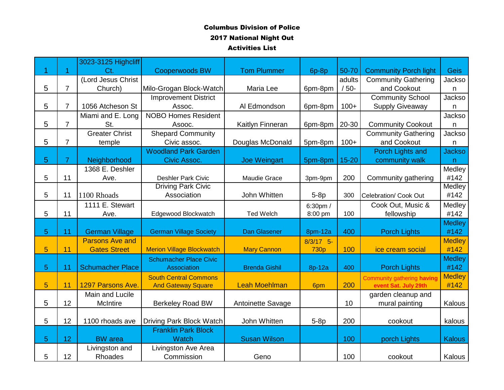|   |                | 3023-3125 Highcliff     |                                  |                      |             |           |                                   |               |
|---|----------------|-------------------------|----------------------------------|----------------------|-------------|-----------|-----------------------------------|---------------|
|   | 1              | Ct.                     | <b>Cooperwoods BW</b>            | <b>Tom Plummer</b>   | $6p-8p$     | 50-70     | <b>Community Porch light</b>      | <b>Geis</b>   |
|   |                | (Lord Jesus Christ      |                                  |                      |             | adults    | <b>Community Gathering</b>        | <b>Jackso</b> |
| 5 | $\overline{7}$ | Church)                 | Milo-Grogan Block-Watch          | Maria Lee            | 6pm-8pm     | $/50-$    | and Cookout                       | n             |
|   |                |                         | <b>Improvement District</b>      |                      |             |           | <b>Community School</b>           | Jackso        |
| 5 | $\overline{7}$ | 1056 Atcheson St        | Assoc.                           | Al Edmondson         | 6pm-8pm     | $100+$    | <b>Supply Giveaway</b>            | n             |
|   |                | Miami and E. Long       | <b>NOBO Homes Resident</b>       |                      |             |           |                                   | Jackso        |
| 5 | $\overline{7}$ | St.                     | Asooc.                           | Kaitlyn Finneran     | 6pm-8pm     | 20-30     | <b>Community Cookout</b>          | n             |
|   |                | <b>Greater Christ</b>   | Shepard Community                |                      |             |           | <b>Community Gathering</b>        | Jackso        |
| 5 | $\overline{7}$ | temple                  | Civic assoc.                     | Douglas McDonald     | 5pm-8pm     | $100+$    | and Cookout                       | n             |
|   |                |                         | <b>Woodland Park Garden</b>      |                      |             |           | Porch Lights and                  | <b>Jackso</b> |
| 5 | $\overline{7}$ | Neighborhood            | Civic Assoc.                     | <b>Joe Weingart</b>  | 5pm-8pm     | $15 - 20$ | community walk                    | n.            |
|   |                | 1368 E. Deshler         |                                  |                      |             |           |                                   | Medley        |
| 5 | 11             | Ave.                    | <b>Deshler Park Civic</b>        | <b>Maudie Grace</b>  | 3pm-9pm     | 200       | Community gathering               | #142          |
|   |                |                         | <b>Driving Park Civic</b>        |                      |             |           |                                   | Medley        |
| 5 | 11             | 1100 Rhoads             | Association                      | John Whitten         | $5-8p$      | 300       | <b>Celebration/ Cook Out</b>      | #142          |
|   |                | 1111 E. Stewart         |                                  |                      | 6:30pm /    |           | Cook Out, Music &                 | Medley        |
| 5 | 11             | Ave.                    | Edgewood Blockwatch              | <b>Ted Welch</b>     | 8:00 pm     | 100       | fellowship                        | #142          |
|   |                |                         |                                  |                      |             |           |                                   | <b>Medley</b> |
| 5 | 11             | <b>German Village</b>   | <b>German Village Society</b>    | <b>Dan Glasener</b>  | 8pm-12a     | 400       | <b>Porch Lights</b>               | #142          |
|   |                | <b>Parsons Ave and</b>  |                                  |                      | $8/3/17$ 5- |           |                                   | <b>Medley</b> |
| 5 | 11             | <b>Gates Street</b>     | <b>Merion Village Blockwatch</b> | <b>Mary Cannon</b>   | <b>730p</b> | 100       | ice cream social                  | #142          |
|   |                |                         | <b>Schumacher Place Civic</b>    |                      |             |           |                                   | <b>Medley</b> |
| 5 | 11             | <b>Schumacher Place</b> | Association                      | <b>Brenda Gishil</b> | 8p-12a      | 400       | <b>Porch Lights</b>               | #142          |
|   |                |                         | <b>South Central Commons</b>     |                      |             |           | <b>Community gathering having</b> | <b>Medley</b> |
| 5 | 11             | 1297 Parsons Ave.       | <b>And Gateway Square</b>        | <b>Leah Moehlman</b> | 6pm         | 200       | event Sat. July 29th              | #142          |
|   |                | Main and Lucile         |                                  |                      |             |           | garden cleanup and                |               |
| 5 | 12             | McIntire                | <b>Berkeley Road BW</b>          | Antoinette Savage    |             | 10        | mural painting                    | Kalous        |
|   |                |                         |                                  |                      |             |           |                                   |               |
| 5 | 12             | 1100 rhoads ave         | Driving Park Block Watch         | John Whitten         | $5-8p$      | 200       | cookout                           | kalous        |
|   |                |                         | <b>Franklin Park Block</b>       |                      |             |           |                                   |               |
| 5 | 12             | <b>BW</b> area          | <b>Watch</b>                     | <b>Susan Wilson</b>  |             | 100       | porch Lights                      | <b>Kalous</b> |
|   |                | Livingston and          | Livingston Ave Area              |                      |             |           |                                   |               |
| 5 | 12             | Rhoades                 | Commission                       | Geno                 |             | 100       | cookout                           | Kalous        |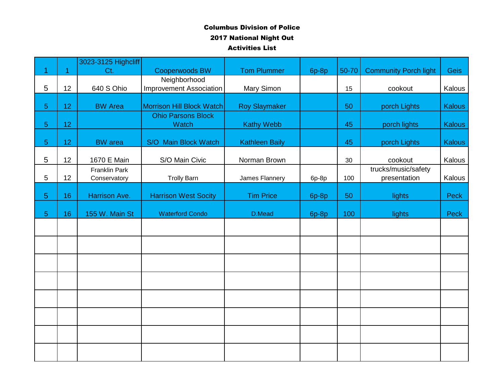|                |    | 3023-3125 Highcliff  |                                |                       |       |       |                              |               |
|----------------|----|----------------------|--------------------------------|-----------------------|-------|-------|------------------------------|---------------|
| 1              | 1  | Ct.                  | <b>Cooperwoods BW</b>          | <b>Tom Plummer</b>    | 6p-8p | 50-70 | <b>Community Porch light</b> | <b>Geis</b>   |
|                |    |                      | Neighborhood                   |                       |       |       |                              |               |
| 5              | 12 | 640 S Ohio           | <b>Improvement Association</b> | Mary Simon            |       | 15    | cookout                      | Kalous        |
| 5              | 12 | <b>BW Area</b>       | Morrison Hill Block Watch      | <b>Roy Slaymaker</b>  |       | 50    | porch Lights                 | Kalous        |
|                |    |                      | <b>Ohio Parsons Block</b>      |                       |       |       |                              |               |
| 5 <sup>5</sup> | 12 |                      | Watch                          | <b>Kathy Webb</b>     |       | 45    | porch lights                 | <b>Kalous</b> |
| 5              | 12 | <b>BW</b> area       | S/O Main Block Watch           | <b>Kathleen Baily</b> |       | 45    | porch Lights                 | Kalous        |
|                |    |                      |                                |                       |       |       |                              |               |
| 5              | 12 | 1670 E Main          | S/O Main Civic                 | Norman Brown          |       | 30    | cookout                      | Kalous        |
|                |    | <b>Franklin Park</b> |                                |                       |       |       | trucks/music/safety          |               |
| 5              | 12 | Conservatory         | <b>Trolly Barn</b>             | James Flannery        | 6p-8p | 100   | presentation                 | Kalous        |
| 5              | 16 | Harrison Ave.        | <b>Harrison West Socity</b>    | <b>Tim Price</b>      | 6p-8p | 50    | lights                       | Peck          |
|                |    |                      |                                |                       |       |       |                              |               |
| 5              | 16 | 155 W. Main St       | <b>Waterford Condo</b>         | D.Mead                | 6p-8p | 100   | lights                       | Peck          |
|                |    |                      |                                |                       |       |       |                              |               |
|                |    |                      |                                |                       |       |       |                              |               |
|                |    |                      |                                |                       |       |       |                              |               |
|                |    |                      |                                |                       |       |       |                              |               |
|                |    |                      |                                |                       |       |       |                              |               |
|                |    |                      |                                |                       |       |       |                              |               |
|                |    |                      |                                |                       |       |       |                              |               |
|                |    |                      |                                |                       |       |       |                              |               |
|                |    |                      |                                |                       |       |       |                              |               |
|                |    |                      |                                |                       |       |       |                              |               |
|                |    |                      |                                |                       |       |       |                              |               |